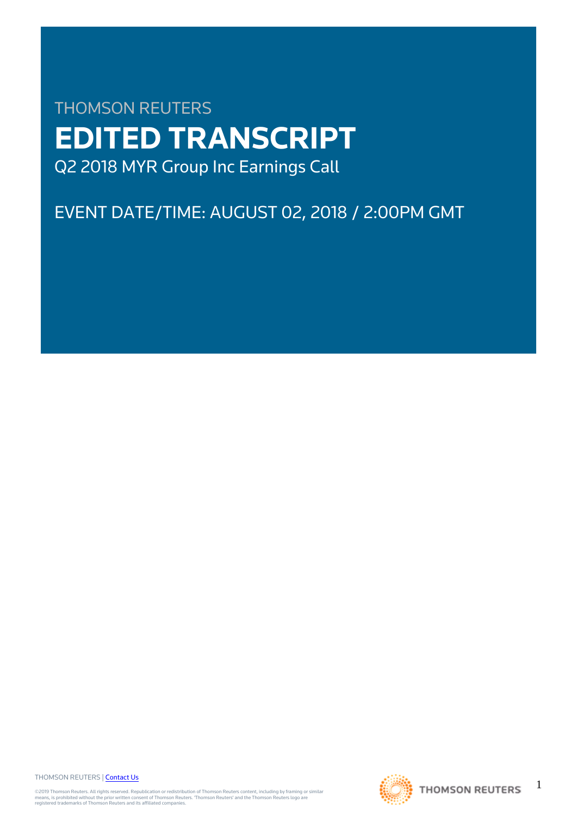# THOMSON REUTERS **EDITED TRANSCRIPT** Q2 2018 MYR Group Inc Earnings Call

# EVENT DATE/TIME: AUGUST 02, 2018 / 2:00PM GMT

THOMSON REUTERS | [Contact Us](https://my.thomsonreuters.com/ContactUsNew)

©2019 Thomson Reuters. All rights reserved. Republication or redistribution of Thomson Reuters content, including by framing or similar<br>means, is prohibited without the prior written consent of Thomson Reuters. "Thomson Re



1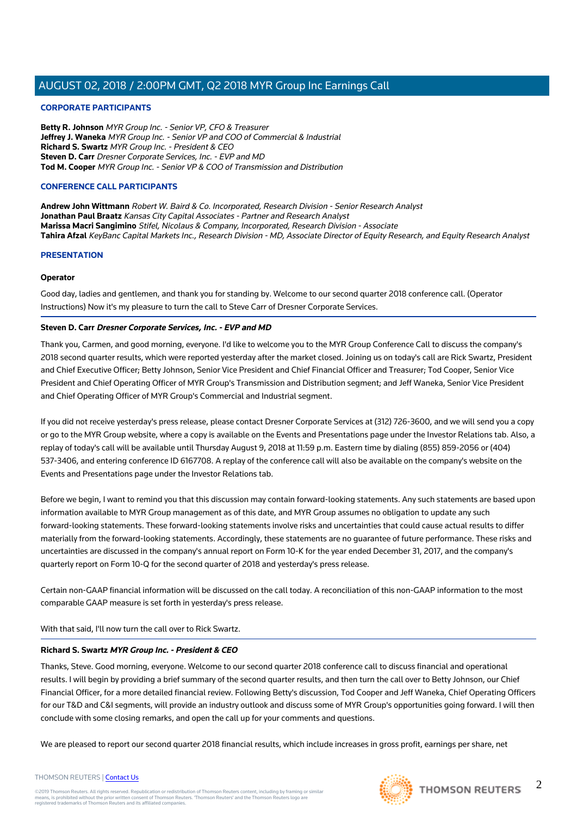## **CORPORATE PARTICIPANTS**

**Betty R. Johnson** MYR Group Inc. - Senior VP, CFO & Treasurer **Jeffrey J. Waneka** MYR Group Inc. - Senior VP and COO of Commercial & Industrial **Richard S. Swartz** MYR Group Inc. - President & CEO **Steven D. Carr** Dresner Corporate Services, Inc. - EVP and MD **Tod M. Cooper** MYR Group Inc. - Senior VP & COO of Transmission and Distribution

## **CONFERENCE CALL PARTICIPANTS**

**Andrew John Wittmann** Robert W. Baird & Co. Incorporated, Research Division - Senior Research Analyst **Jonathan Paul Braatz** Kansas City Capital Associates - Partner and Research Analyst **Marissa Macri Sangimino** Stifel, Nicolaus & Company, Incorporated, Research Division - Associate **Tahira Afzal** KeyBanc Capital Markets Inc., Research Division - MD, Associate Director of Equity Research, and Equity Research Analyst

## **PRESENTATION**

#### **Operator**

Good day, ladies and gentlemen, and thank you for standing by. Welcome to our second quarter 2018 conference call. (Operator Instructions) Now it's my pleasure to turn the call to Steve Carr of Dresner Corporate Services.

## **Steven D. Carr Dresner Corporate Services, Inc. - EVP and MD**

Thank you, Carmen, and good morning, everyone. I'd like to welcome you to the MYR Group Conference Call to discuss the company's 2018 second quarter results, which were reported yesterday after the market closed. Joining us on today's call are Rick Swartz, President and Chief Executive Officer; Betty Johnson, Senior Vice President and Chief Financial Officer and Treasurer; Tod Cooper, Senior Vice President and Chief Operating Officer of MYR Group's Transmission and Distribution segment; and Jeff Waneka, Senior Vice President and Chief Operating Officer of MYR Group's Commercial and Industrial segment.

If you did not receive yesterday's press release, please contact Dresner Corporate Services at (312) 726-3600, and we will send you a copy or go to the MYR Group website, where a copy is available on the Events and Presentations page under the Investor Relations tab. Also, a replay of today's call will be available until Thursday August 9, 2018 at 11:59 p.m. Eastern time by dialing (855) 859-2056 or (404) 537-3406, and entering conference ID 6167708. A replay of the conference call will also be available on the company's website on the Events and Presentations page under the Investor Relations tab.

Before we begin, I want to remind you that this discussion may contain forward-looking statements. Any such statements are based upon information available to MYR Group management as of this date, and MYR Group assumes no obligation to update any such forward-looking statements. These forward-looking statements involve risks and uncertainties that could cause actual results to differ materially from the forward-looking statements. Accordingly, these statements are no guarantee of future performance. These risks and uncertainties are discussed in the company's annual report on Form 10-K for the year ended December 31, 2017, and the company's quarterly report on Form 10-Q for the second quarter of 2018 and yesterday's press release.

Certain non-GAAP financial information will be discussed on the call today. A reconciliation of this non-GAAP information to the most comparable GAAP measure is set forth in yesterday's press release.

With that said, I'll now turn the call over to Rick Swartz.

#### **Richard S. Swartz MYR Group Inc. - President & CEO**

Thanks, Steve. Good morning, everyone. Welcome to our second quarter 2018 conference call to discuss financial and operational results. I will begin by providing a brief summary of the second quarter results, and then turn the call over to Betty Johnson, our Chief Financial Officer, for a more detailed financial review. Following Betty's discussion, Tod Cooper and Jeff Waneka, Chief Operating Officers for our T&D and C&I segments, will provide an industry outlook and discuss some of MYR Group's opportunities going forward. I will then conclude with some closing remarks, and open the call up for your comments and questions.

We are pleased to report our second quarter 2018 financial results, which include increases in gross profit, earnings per share, net



THOMSON REUTERS | [Contact Us](https://my.thomsonreuters.com/ContactUsNew)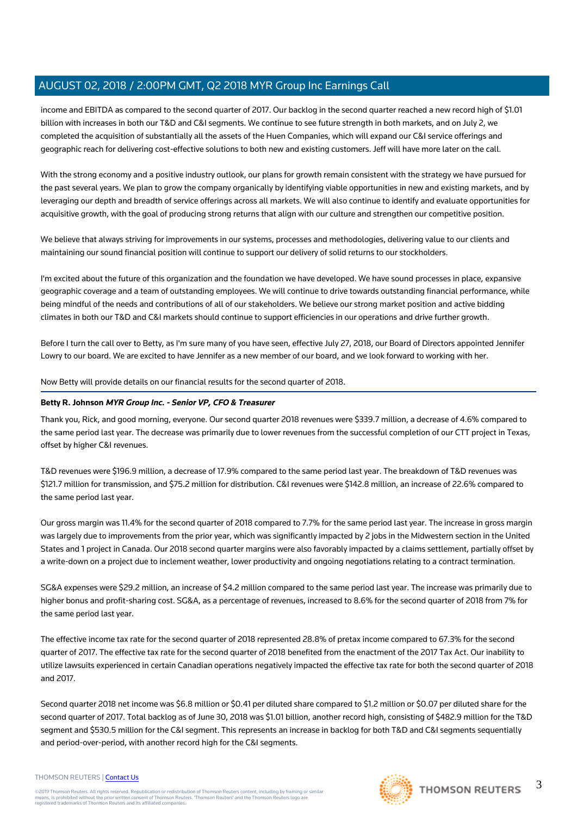income and EBITDA as compared to the second quarter of 2017. Our backlog in the second quarter reached a new record high of \$1.01 billion with increases in both our T&D and C&I segments. We continue to see future strength in both markets, and on July 2, we completed the acquisition of substantially all the assets of the Huen Companies, which will expand our C&I service offerings and geographic reach for delivering cost-effective solutions to both new and existing customers. Jeff will have more later on the call.

With the strong economy and a positive industry outlook, our plans for growth remain consistent with the strategy we have pursued for the past several years. We plan to grow the company organically by identifying viable opportunities in new and existing markets, and by leveraging our depth and breadth of service offerings across all markets. We will also continue to identify and evaluate opportunities for acquisitive growth, with the goal of producing strong returns that align with our culture and strengthen our competitive position.

We believe that always striving for improvements in our systems, processes and methodologies, delivering value to our clients and maintaining our sound financial position will continue to support our delivery of solid returns to our stockholders.

I'm excited about the future of this organization and the foundation we have developed. We have sound processes in place, expansive geographic coverage and a team of outstanding employees. We will continue to drive towards outstanding financial performance, while being mindful of the needs and contributions of all of our stakeholders. We believe our strong market position and active bidding climates in both our T&D and C&I markets should continue to support efficiencies in our operations and drive further growth.

Before I turn the call over to Betty, as I'm sure many of you have seen, effective July 27, 2018, our Board of Directors appointed Jennifer Lowry to our board. We are excited to have Jennifer as a new member of our board, and we look forward to working with her.

Now Betty will provide details on our financial results for the second quarter of 2018.

## **Betty R. Johnson MYR Group Inc. - Senior VP, CFO & Treasurer**

Thank you, Rick, and good morning, everyone. Our second quarter 2018 revenues were \$339.7 million, a decrease of 4.6% compared to the same period last year. The decrease was primarily due to lower revenues from the successful completion of our CTT project in Texas, offset by higher C&I revenues.

T&D revenues were \$196.9 million, a decrease of 17.9% compared to the same period last year. The breakdown of T&D revenues was \$121.7 million for transmission, and \$75.2 million for distribution. C&I revenues were \$142.8 million, an increase of 22.6% compared to the same period last year.

Our gross margin was 11.4% for the second quarter of 2018 compared to 7.7% for the same period last year. The increase in gross margin was largely due to improvements from the prior year, which was significantly impacted by 2 jobs in the Midwestern section in the United States and 1 project in Canada. Our 2018 second quarter margins were also favorably impacted by a claims settlement, partially offset by a write-down on a project due to inclement weather, lower productivity and ongoing negotiations relating to a contract termination.

SG&A expenses were \$29.2 million, an increase of \$4.2 million compared to the same period last year. The increase was primarily due to higher bonus and profit-sharing cost. SG&A, as a percentage of revenues, increased to 8.6% for the second quarter of 2018 from 7% for the same period last year.

The effective income tax rate for the second quarter of 2018 represented 28.8% of pretax income compared to 67.3% for the second quarter of 2017. The effective tax rate for the second quarter of 2018 benefited from the enactment of the 2017 Tax Act. Our inability to utilize lawsuits experienced in certain Canadian operations negatively impacted the effective tax rate for both the second quarter of 2018 and 2017.

Second quarter 2018 net income was \$6.8 million or \$0.41 per diluted share compared to \$1.2 million or \$0.07 per diluted share for the second quarter of 2017. Total backlog as of June 30, 2018 was \$1.01 billion, another record high, consisting of \$482.9 million for the T&D segment and \$530.5 million for the C&I segment. This represents an increase in backlog for both T&D and C&I segments sequentially and period-over-period, with another record high for the C&I segments.

#### THOMSON REUTERS | [Contact Us](https://my.thomsonreuters.com/ContactUsNew)

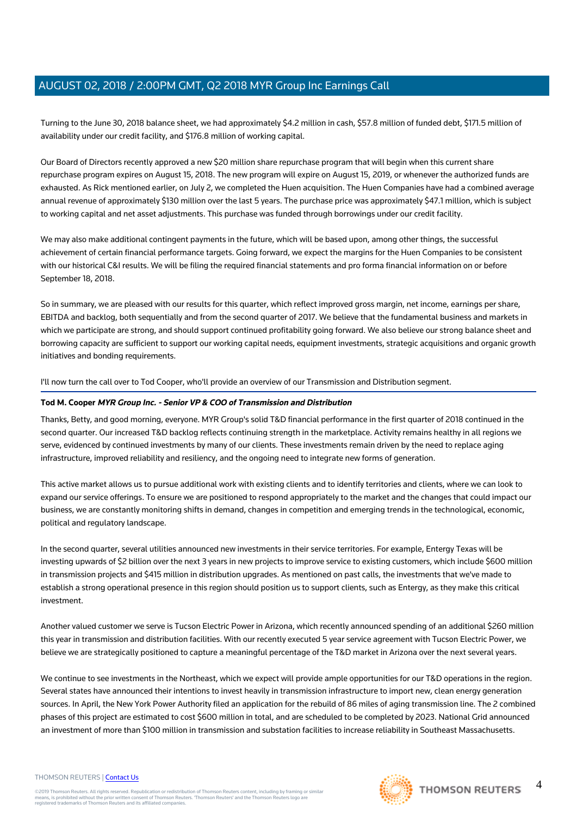Turning to the June 30, 2018 balance sheet, we had approximately \$4.2 million in cash, \$57.8 million of funded debt, \$171.5 million of availability under our credit facility, and \$176.8 million of working capital.

Our Board of Directors recently approved a new \$20 million share repurchase program that will begin when this current share repurchase program expires on August 15, 2018. The new program will expire on August 15, 2019, or whenever the authorized funds are exhausted. As Rick mentioned earlier, on July 2, we completed the Huen acquisition. The Huen Companies have had a combined average annual revenue of approximately \$130 million over the last 5 years. The purchase price was approximately \$47.1 million, which is subject to working capital and net asset adjustments. This purchase was funded through borrowings under our credit facility.

We may also make additional contingent payments in the future, which will be based upon, among other things, the successful achievement of certain financial performance targets. Going forward, we expect the margins for the Huen Companies to be consistent with our historical C&I results. We will be filing the required financial statements and pro forma financial information on or before September 18, 2018.

So in summary, we are pleased with our results for this quarter, which reflect improved gross margin, net income, earnings per share, EBITDA and backlog, both sequentially and from the second quarter of 2017. We believe that the fundamental business and markets in which we participate are strong, and should support continued profitability going forward. We also believe our strong balance sheet and borrowing capacity are sufficient to support our working capital needs, equipment investments, strategic acquisitions and organic growth initiatives and bonding requirements.

I'll now turn the call over to Tod Cooper, who'll provide an overview of our Transmission and Distribution segment.

## **Tod M. Cooper MYR Group Inc. - Senior VP & COO of Transmission and Distribution**

Thanks, Betty, and good morning, everyone. MYR Group's solid T&D financial performance in the first quarter of 2018 continued in the second quarter. Our increased T&D backlog reflects continuing strength in the marketplace. Activity remains healthy in all regions we serve, evidenced by continued investments by many of our clients. These investments remain driven by the need to replace aging infrastructure, improved reliability and resiliency, and the ongoing need to integrate new forms of generation.

This active market allows us to pursue additional work with existing clients and to identify territories and clients, where we can look to expand our service offerings. To ensure we are positioned to respond appropriately to the market and the changes that could impact our business, we are constantly monitoring shifts in demand, changes in competition and emerging trends in the technological, economic, political and regulatory landscape.

In the second quarter, several utilities announced new investments in their service territories. For example, Entergy Texas will be investing upwards of \$2 billion over the next 3 years in new projects to improve service to existing customers, which include \$600 million in transmission projects and \$415 million in distribution upgrades. As mentioned on past calls, the investments that we've made to establish a strong operational presence in this region should position us to support clients, such as Entergy, as they make this critical investment.

Another valued customer we serve is Tucson Electric Power in Arizona, which recently announced spending of an additional \$260 million this year in transmission and distribution facilities. With our recently executed 5 year service agreement with Tucson Electric Power, we believe we are strategically positioned to capture a meaningful percentage of the T&D market in Arizona over the next several years.

We continue to see investments in the Northeast, which we expect will provide ample opportunities for our T&D operations in the region. Several states have announced their intentions to invest heavily in transmission infrastructure to import new, clean energy generation sources. In April, the New York Power Authority filed an application for the rebuild of 86 miles of aging transmission line. The 2 combined phases of this project are estimated to cost \$600 million in total, and are scheduled to be completed by 2023. National Grid announced an investment of more than \$100 million in transmission and substation facilities to increase reliability in Southeast Massachusetts.

#### THOMSON REUTERS | [Contact Us](https://my.thomsonreuters.com/ContactUsNew)

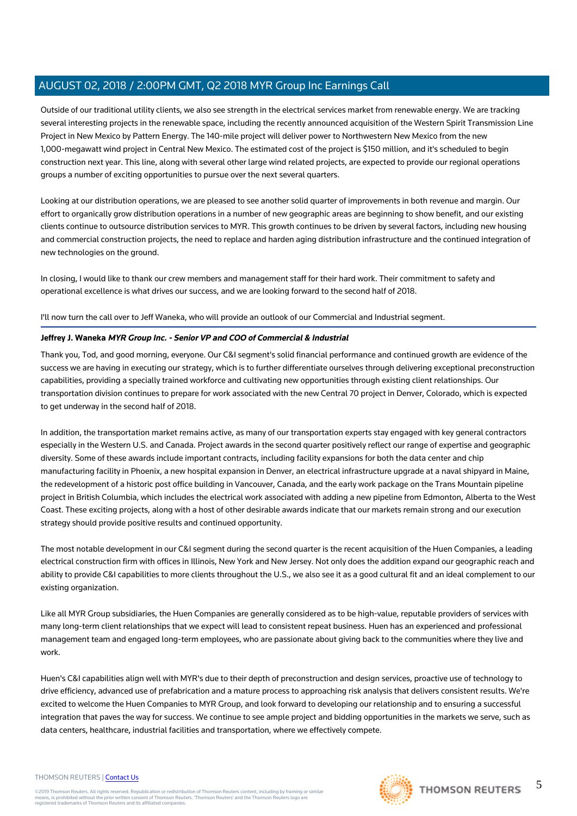Outside of our traditional utility clients, we also see strength in the electrical services market from renewable energy. We are tracking several interesting projects in the renewable space, including the recently announced acquisition of the Western Spirit Transmission Line Project in New Mexico by Pattern Energy. The 140-mile project will deliver power to Northwestern New Mexico from the new 1,000-megawatt wind project in Central New Mexico. The estimated cost of the project is \$150 million, and it's scheduled to begin construction next year. This line, along with several other large wind related projects, are expected to provide our regional operations groups a number of exciting opportunities to pursue over the next several quarters.

Looking at our distribution operations, we are pleased to see another solid quarter of improvements in both revenue and margin. Our effort to organically grow distribution operations in a number of new geographic areas are beginning to show benefit, and our existing clients continue to outsource distribution services to MYR. This growth continues to be driven by several factors, including new housing and commercial construction projects, the need to replace and harden aging distribution infrastructure and the continued integration of new technologies on the ground.

In closing, I would like to thank our crew members and management staff for their hard work. Their commitment to safety and operational excellence is what drives our success, and we are looking forward to the second half of 2018.

I'll now turn the call over to Jeff Waneka, who will provide an outlook of our Commercial and Industrial segment.

# **Jeffrey J. Waneka MYR Group Inc. - Senior VP and COO of Commercial & Industrial**

Thank you, Tod, and good morning, everyone. Our C&I segment's solid financial performance and continued growth are evidence of the success we are having in executing our strategy, which is to further differentiate ourselves through delivering exceptional preconstruction capabilities, providing a specially trained workforce and cultivating new opportunities through existing client relationships. Our transportation division continues to prepare for work associated with the new Central 70 project in Denver, Colorado, which is expected to get underway in the second half of 2018.

In addition, the transportation market remains active, as many of our transportation experts stay engaged with key general contractors especially in the Western U.S. and Canada. Project awards in the second quarter positively reflect our range of expertise and geographic diversity. Some of these awards include important contracts, including facility expansions for both the data center and chip manufacturing facility in Phoenix, a new hospital expansion in Denver, an electrical infrastructure upgrade at a naval shipyard in Maine, the redevelopment of a historic post office building in Vancouver, Canada, and the early work package on the Trans Mountain pipeline project in British Columbia, which includes the electrical work associated with adding a new pipeline from Edmonton, Alberta to the West Coast. These exciting projects, along with a host of other desirable awards indicate that our markets remain strong and our execution strategy should provide positive results and continued opportunity.

The most notable development in our C&I segment during the second quarter is the recent acquisition of the Huen Companies, a leading electrical construction firm with offices in Illinois, New York and New Jersey. Not only does the addition expand our geographic reach and ability to provide C&I capabilities to more clients throughout the U.S., we also see it as a good cultural fit and an ideal complement to our existing organization.

Like all MYR Group subsidiaries, the Huen Companies are generally considered as to be high-value, reputable providers of services with many long-term client relationships that we expect will lead to consistent repeat business. Huen has an experienced and professional management team and engaged long-term employees, who are passionate about giving back to the communities where they live and work.

Huen's C&I capabilities align well with MYR's due to their depth of preconstruction and design services, proactive use of technology to drive efficiency, advanced use of prefabrication and a mature process to approaching risk analysis that delivers consistent results. We're excited to welcome the Huen Companies to MYR Group, and look forward to developing our relationship and to ensuring a successful integration that paves the way for success. We continue to see ample project and bidding opportunities in the markets we serve, such as data centers, healthcare, industrial facilities and transportation, where we effectively compete.

#### THOMSON REUTERS | [Contact Us](https://my.thomsonreuters.com/ContactUsNew)

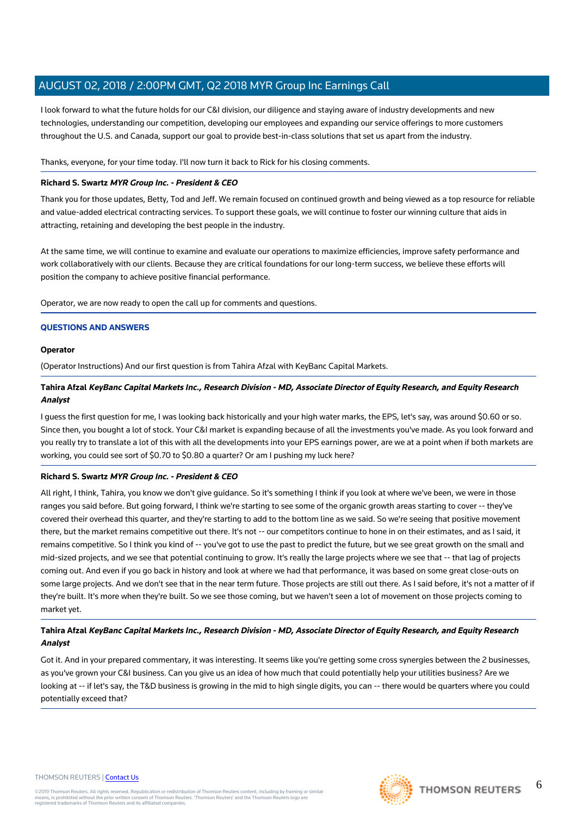I look forward to what the future holds for our C&I division, our diligence and staying aware of industry developments and new technologies, understanding our competition, developing our employees and expanding our service offerings to more customers throughout the U.S. and Canada, support our goal to provide best-in-class solutions that set us apart from the industry.

Thanks, everyone, for your time today. I'll now turn it back to Rick for his closing comments.

#### **Richard S. Swartz MYR Group Inc. - President & CEO**

Thank you for those updates, Betty, Tod and Jeff. We remain focused on continued growth and being viewed as a top resource for reliable and value-added electrical contracting services. To support these goals, we will continue to foster our winning culture that aids in attracting, retaining and developing the best people in the industry.

At the same time, we will continue to examine and evaluate our operations to maximize efficiencies, improve safety performance and work collaboratively with our clients. Because they are critical foundations for our long-term success, we believe these efforts will position the company to achieve positive financial performance.

Operator, we are now ready to open the call up for comments and questions.

#### **QUESTIONS AND ANSWERS**

#### **Operator**

(Operator Instructions) And our first question is from Tahira Afzal with KeyBanc Capital Markets.

# **Tahira Afzal KeyBanc Capital Markets Inc., Research Division - MD, Associate Director of Equity Research, and Equity Research Analyst**

I guess the first question for me, I was looking back historically and your high water marks, the EPS, let's say, was around \$0.60 or so. Since then, you bought a lot of stock. Your C&I market is expanding because of all the investments you've made. As you look forward and you really try to translate a lot of this with all the developments into your EPS earnings power, are we at a point when if both markets are working, you could see sort of \$0.70 to \$0.80 a quarter? Or am I pushing my luck here?

#### **Richard S. Swartz MYR Group Inc. - President & CEO**

All right, I think, Tahira, you know we don't give guidance. So it's something I think if you look at where we've been, we were in those ranges you said before. But going forward, I think we're starting to see some of the organic growth areas starting to cover -- they've covered their overhead this quarter, and they're starting to add to the bottom line as we said. So we're seeing that positive movement there, but the market remains competitive out there. It's not -- our competitors continue to hone in on their estimates, and as I said, it remains competitive. So I think you kind of -- you've got to use the past to predict the future, but we see great growth on the small and mid-sized projects, and we see that potential continuing to grow. It's really the large projects where we see that -- that lag of projects coming out. And even if you go back in history and look at where we had that performance, it was based on some great close-outs on some large projects. And we don't see that in the near term future. Those projects are still out there. As I said before, it's not a matter of if they're built. It's more when they're built. So we see those coming, but we haven't seen a lot of movement on those projects coming to market yet.

# **Tahira Afzal KeyBanc Capital Markets Inc., Research Division - MD, Associate Director of Equity Research, and Equity Research Analyst**

Got it. And in your prepared commentary, it was interesting. It seems like you're getting some cross synergies between the 2 businesses, as you've grown your C&I business. Can you give us an idea of how much that could potentially help your utilities business? Are we looking at -- if let's say, the T&D business is growing in the mid to high single digits, you can -- there would be quarters where you could potentially exceed that?

#### THOMSON REUTERS | [Contact Us](https://my.thomsonreuters.com/ContactUsNew)

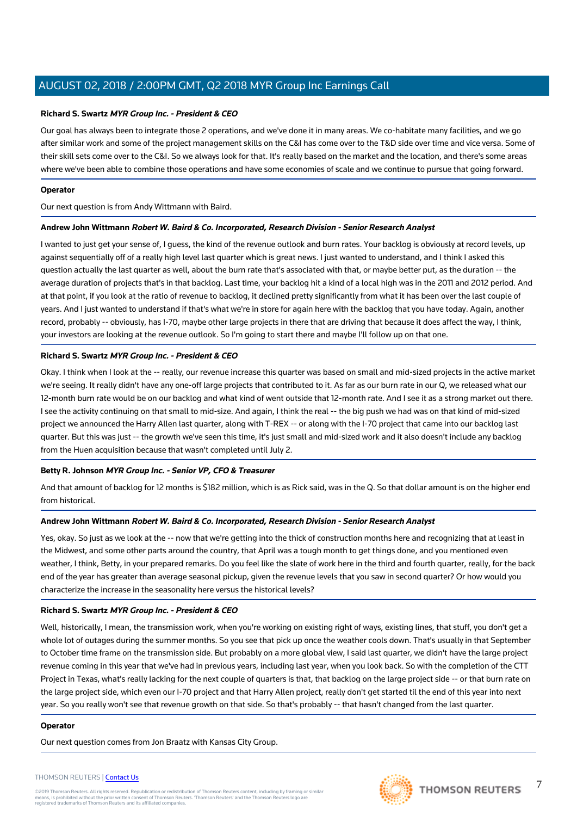#### **Richard S. Swartz MYR Group Inc. - President & CEO**

Our goal has always been to integrate those 2 operations, and we've done it in many areas. We co-habitate many facilities, and we go after similar work and some of the project management skills on the C&I has come over to the T&D side over time and vice versa. Some of their skill sets come over to the C&I. So we always look for that. It's really based on the market and the location, and there's some areas where we've been able to combine those operations and have some economies of scale and we continue to pursue that going forward.

#### **Operator**

Our next question is from Andy Wittmann with Baird.

#### **Andrew John Wittmann Robert W. Baird & Co. Incorporated, Research Division - Senior Research Analyst**

I wanted to just get your sense of, I guess, the kind of the revenue outlook and burn rates. Your backlog is obviously at record levels, up against sequentially off of a really high level last quarter which is great news. I just wanted to understand, and I think I asked this question actually the last quarter as well, about the burn rate that's associated with that, or maybe better put, as the duration -- the average duration of projects that's in that backlog. Last time, your backlog hit a kind of a local high was in the 2011 and 2012 period. And at that point, if you look at the ratio of revenue to backlog, it declined pretty significantly from what it has been over the last couple of years. And I just wanted to understand if that's what we're in store for again here with the backlog that you have today. Again, another record, probably -- obviously, has I-70, maybe other large projects in there that are driving that because it does affect the way, I think, your investors are looking at the revenue outlook. So I'm going to start there and maybe I'll follow up on that one.

## **Richard S. Swartz MYR Group Inc. - President & CEO**

Okay. I think when I look at the -- really, our revenue increase this quarter was based on small and mid-sized projects in the active market we're seeing. It really didn't have any one-off large projects that contributed to it. As far as our burn rate in our Q, we released what our 12-month burn rate would be on our backlog and what kind of went outside that 12-month rate. And I see it as a strong market out there. I see the activity continuing on that small to mid-size. And again, I think the real -- the big push we had was on that kind of mid-sized project we announced the Harry Allen last quarter, along with T-REX -- or along with the I-70 project that came into our backlog last quarter. But this was just -- the growth we've seen this time, it's just small and mid-sized work and it also doesn't include any backlog from the Huen acquisition because that wasn't completed until July 2.

#### **Betty R. Johnson MYR Group Inc. - Senior VP, CFO & Treasurer**

And that amount of backlog for 12 months is \$182 million, which is as Rick said, was in the Q. So that dollar amount is on the higher end from historical.

#### **Andrew John Wittmann Robert W. Baird & Co. Incorporated, Research Division - Senior Research Analyst**

Yes, okay. So just as we look at the -- now that we're getting into the thick of construction months here and recognizing that at least in the Midwest, and some other parts around the country, that April was a tough month to get things done, and you mentioned even weather, I think, Betty, in your prepared remarks. Do you feel like the slate of work here in the third and fourth quarter, really, for the back end of the year has greater than average seasonal pickup, given the revenue levels that you saw in second quarter? Or how would you characterize the increase in the seasonality here versus the historical levels?

#### **Richard S. Swartz MYR Group Inc. - President & CEO**

Well, historically, I mean, the transmission work, when you're working on existing right of ways, existing lines, that stuff, you don't get a whole lot of outages during the summer months. So you see that pick up once the weather cools down. That's usually in that September to October time frame on the transmission side. But probably on a more global view, I said last quarter, we didn't have the large project revenue coming in this year that we've had in previous years, including last year, when you look back. So with the completion of the CTT Project in Texas, what's really lacking for the next couple of quarters is that, that backlog on the large project side -- or that burn rate on the large project side, which even our I-70 project and that Harry Allen project, really don't get started til the end of this year into next year. So you really won't see that revenue growth on that side. So that's probably -- that hasn't changed from the last quarter.

## **Operator**

Our next question comes from Jon Braatz with Kansas City Group.

#### THOMSON REUTERS | [Contact Us](https://my.thomsonreuters.com/ContactUsNew)

©2019 Thomson Reuters. All rights reserved. Republication or redistribution of Thomson Reuters content, including by framing or similar<br>means, is prohibited without the prior written consent of Thomson Reuters. "Thomson Re



7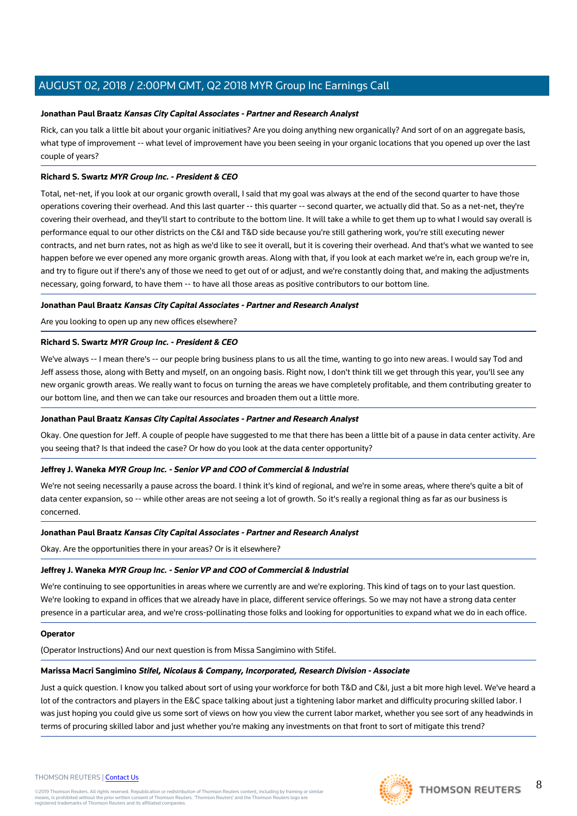#### **Jonathan Paul Braatz Kansas City Capital Associates - Partner and Research Analyst**

Rick, can you talk a little bit about your organic initiatives? Are you doing anything new organically? And sort of on an aggregate basis, what type of improvement -- what level of improvement have you been seeing in your organic locations that you opened up over the last couple of years?

#### **Richard S. Swartz MYR Group Inc. - President & CEO**

Total, net-net, if you look at our organic growth overall, I said that my goal was always at the end of the second quarter to have those operations covering their overhead. And this last quarter -- this quarter -- second quarter, we actually did that. So as a net-net, they're covering their overhead, and they'll start to contribute to the bottom line. It will take a while to get them up to what I would say overall is performance equal to our other districts on the C&I and T&D side because you're still gathering work, you're still executing newer contracts, and net burn rates, not as high as we'd like to see it overall, but it is covering their overhead. And that's what we wanted to see happen before we ever opened any more organic growth areas. Along with that, if you look at each market we're in, each group we're in, and try to figure out if there's any of those we need to get out of or adjust, and we're constantly doing that, and making the adjustments necessary, going forward, to have them -- to have all those areas as positive contributors to our bottom line.

#### **Jonathan Paul Braatz Kansas City Capital Associates - Partner and Research Analyst**

Are you looking to open up any new offices elsewhere?

#### **Richard S. Swartz MYR Group Inc. - President & CEO**

We've always -- I mean there's -- our people bring business plans to us all the time, wanting to go into new areas. I would say Tod and Jeff assess those, along with Betty and myself, on an ongoing basis. Right now, I don't think till we get through this year, you'll see any new organic growth areas. We really want to focus on turning the areas we have completely profitable, and them contributing greater to our bottom line, and then we can take our resources and broaden them out a little more.

#### **Jonathan Paul Braatz Kansas City Capital Associates - Partner and Research Analyst**

Okay. One question for Jeff. A couple of people have suggested to me that there has been a little bit of a pause in data center activity. Are you seeing that? Is that indeed the case? Or how do you look at the data center opportunity?

#### **Jeffrey J. Waneka MYR Group Inc. - Senior VP and COO of Commercial & Industrial**

We're not seeing necessarily a pause across the board. I think it's kind of regional, and we're in some areas, where there's quite a bit of data center expansion, so -- while other areas are not seeing a lot of growth. So it's really a regional thing as far as our business is concerned.

#### **Jonathan Paul Braatz Kansas City Capital Associates - Partner and Research Analyst**

Okay. Are the opportunities there in your areas? Or is it elsewhere?

#### **Jeffrey J. Waneka MYR Group Inc. - Senior VP and COO of Commercial & Industrial**

We're continuing to see opportunities in areas where we currently are and we're exploring. This kind of tags on to your last question. We're looking to expand in offices that we already have in place, different service offerings. So we may not have a strong data center presence in a particular area, and we're cross-pollinating those folks and looking for opportunities to expand what we do in each office.

#### **Operator**

(Operator Instructions) And our next question is from Missa Sangimino with Stifel.

#### **Marissa Macri Sangimino Stifel, Nicolaus & Company, Incorporated, Research Division - Associate**

Just a quick question. I know you talked about sort of using your workforce for both T&D and C&I, just a bit more high level. We've heard a lot of the contractors and players in the E&C space talking about just a tightening labor market and difficulty procuring skilled labor. I was just hoping you could give us some sort of views on how you view the current labor market, whether you see sort of any headwinds in terms of procuring skilled labor and just whether you're making any investments on that front to sort of mitigate this trend?



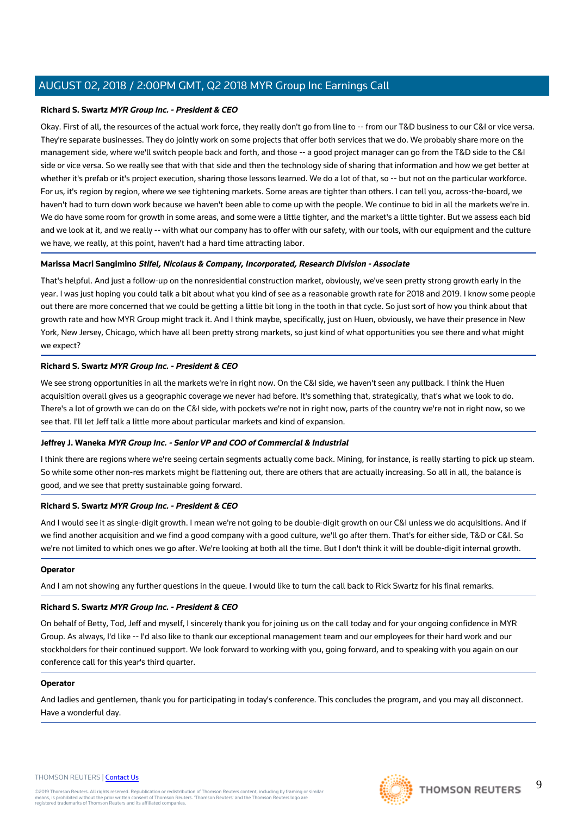## **Richard S. Swartz MYR Group Inc. - President & CEO**

Okay. First of all, the resources of the actual work force, they really don't go from line to -- from our T&D business to our C&I or vice versa. They're separate businesses. They do jointly work on some projects that offer both services that we do. We probably share more on the management side, where we'll switch people back and forth, and those -- a good project manager can go from the T&D side to the C&I side or vice versa. So we really see that with that side and then the technology side of sharing that information and how we get better at whether it's prefab or it's project execution, sharing those lessons learned. We do a lot of that, so -- but not on the particular workforce. For us, it's region by region, where we see tightening markets. Some areas are tighter than others. I can tell you, across-the-board, we haven't had to turn down work because we haven't been able to come up with the people. We continue to bid in all the markets we're in. We do have some room for growth in some areas, and some were a little tighter, and the market's a little tighter. But we assess each bid and we look at it, and we really -- with what our company has to offer with our safety, with our tools, with our equipment and the culture we have, we really, at this point, haven't had a hard time attracting labor.

## **Marissa Macri Sangimino Stifel, Nicolaus & Company, Incorporated, Research Division - Associate**

That's helpful. And just a follow-up on the nonresidential construction market, obviously, we've seen pretty strong growth early in the year. I was just hoping you could talk a bit about what you kind of see as a reasonable growth rate for 2018 and 2019. I know some people out there are more concerned that we could be getting a little bit long in the tooth in that cycle. So just sort of how you think about that growth rate and how MYR Group might track it. And I think maybe, specifically, just on Huen, obviously, we have their presence in New York, New Jersey, Chicago, which have all been pretty strong markets, so just kind of what opportunities you see there and what might we expect?

## **Richard S. Swartz MYR Group Inc. - President & CEO**

We see strong opportunities in all the markets we're in right now. On the C&I side, we haven't seen any pullback. I think the Huen acquisition overall gives us a geographic coverage we never had before. It's something that, strategically, that's what we look to do. There's a lot of growth we can do on the C&I side, with pockets we're not in right now, parts of the country we're not in right now, so we see that. I'll let Jeff talk a little more about particular markets and kind of expansion.

#### **Jeffrey J. Waneka MYR Group Inc. - Senior VP and COO of Commercial & Industrial**

I think there are regions where we're seeing certain segments actually come back. Mining, for instance, is really starting to pick up steam. So while some other non-res markets might be flattening out, there are others that are actually increasing. So all in all, the balance is good, and we see that pretty sustainable going forward.

# **Richard S. Swartz MYR Group Inc. - President & CEO**

And I would see it as single-digit growth. I mean we're not going to be double-digit growth on our C&I unless we do acquisitions. And if we find another acquisition and we find a good company with a good culture, we'll go after them. That's for either side, T&D or C&I. So we're not limited to which ones we go after. We're looking at both all the time. But I don't think it will be double-digit internal growth.

#### **Operator**

And I am not showing any further questions in the queue. I would like to turn the call back to Rick Swartz for his final remarks.

# **Richard S. Swartz MYR Group Inc. - President & CEO**

On behalf of Betty, Tod, Jeff and myself, I sincerely thank you for joining us on the call today and for your ongoing confidence in MYR Group. As always, I'd like -- I'd also like to thank our exceptional management team and our employees for their hard work and our stockholders for their continued support. We look forward to working with you, going forward, and to speaking with you again on our conference call for this year's third quarter.

#### **Operator**

And ladies and gentlemen, thank you for participating in today's conference. This concludes the program, and you may all disconnect. Have a wonderful day.

#### THOMSON REUTERS | [Contact Us](https://my.thomsonreuters.com/ContactUsNew)